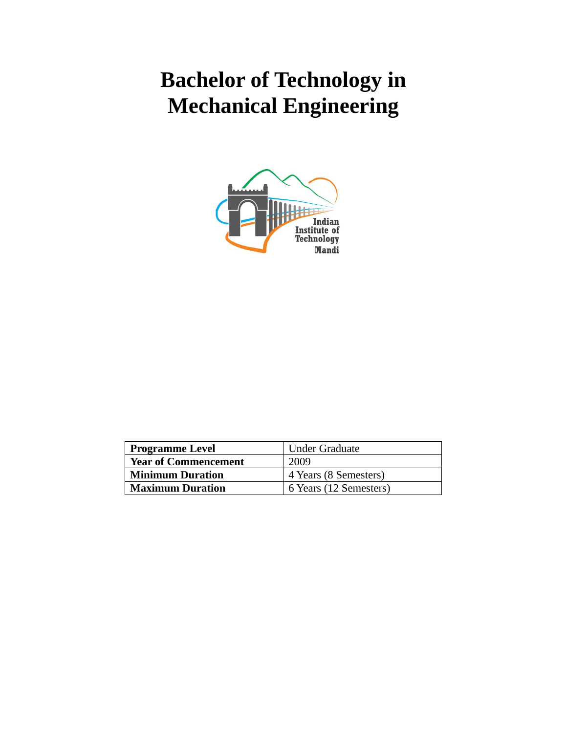# **Bachelor of Technology in Mechanical Engineering**



| <b>Under Graduate</b><br><b>Programme Level</b> |                        |
|-------------------------------------------------|------------------------|
| <b>Year of Commencement</b>                     | 2009                   |
| <b>Minimum Duration</b>                         | 4 Years (8 Semesters)  |
| <b>Maximum Duration</b>                         | 6 Years (12 Semesters) |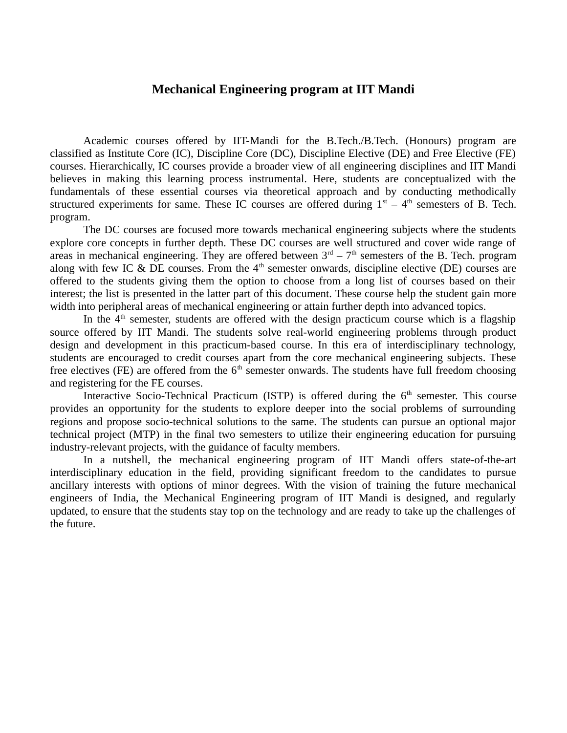### **Mechanical Engineering program at IIT Mandi**

Academic courses offered by IIT-Mandi for the B.Tech./B.Tech. (Honours) program are classified as Institute Core (IC), Discipline Core (DC), Discipline Elective (DE) and Free Elective (FE) courses. Hierarchically, IC courses provide a broader view of all engineering disciplines and IIT Mandi believes in making this learning process instrumental. Here, students are conceptualized with the fundamentals of these essential courses via theoretical approach and by conducting methodically structured experiments for same. These IC courses are offered during  $1<sup>st</sup> - 4<sup>th</sup>$  semesters of B. Tech. program.

The DC courses are focused more towards mechanical engineering subjects where the students explore core concepts in further depth. These DC courses are well structured and cover wide range of areas in mechanical engineering. They are offered between  $3<sup>rd</sup> - 7<sup>th</sup>$  semesters of the B. Tech. program along with few IC & DE courses. From the  $4<sup>th</sup>$  semester onwards, discipline elective (DE) courses are offered to the students giving them the option to choose from a long list of courses based on their interest; the list is presented in the latter part of this document. These course help the student gain more width into peripheral areas of mechanical engineering or attain further depth into advanced topics.

In the  $4<sup>th</sup>$  semester, students are offered with the design practicum course which is a flagship source offered by IIT Mandi. The students solve real-world engineering problems through product design and development in this practicum-based course. In this era of interdisciplinary technology, students are encouraged to credit courses apart from the core mechanical engineering subjects. These free electives (FE) are offered from the  $6<sup>th</sup>$  semester onwards. The students have full freedom choosing and registering for the FE courses.

Interactive Socio-Technical Practicum (ISTP) is offered during the  $6<sup>th</sup>$  semester. This course provides an opportunity for the students to explore deeper into the social problems of surrounding regions and propose socio-technical solutions to the same. The students can pursue an optional major technical project (MTP) in the final two semesters to utilize their engineering education for pursuing industry-relevant projects, with the guidance of faculty members.

In a nutshell, the mechanical engineering program of IIT Mandi offers state-of-the-art interdisciplinary education in the field, providing significant freedom to the candidates to pursue ancillary interests with options of minor degrees. With the vision of training the future mechanical engineers of India, the Mechanical Engineering program of IIT Mandi is designed, and regularly updated, to ensure that the students stay top on the technology and are ready to take up the challenges of the future.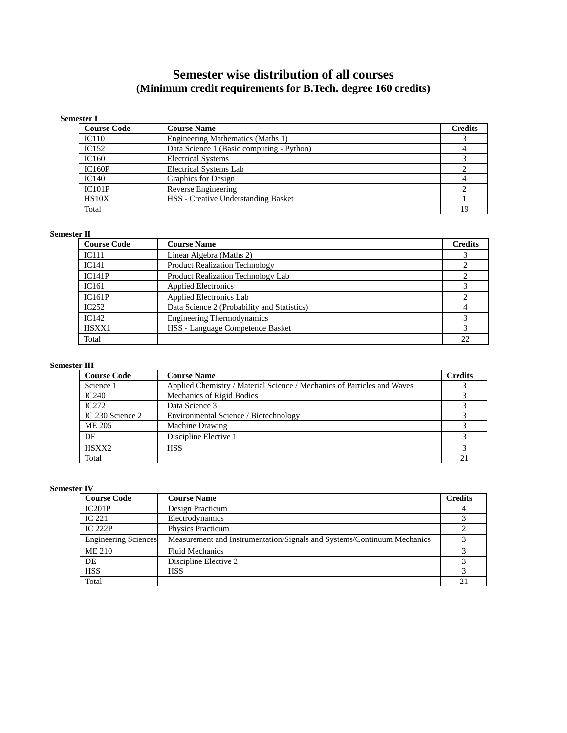## **Semester wise distribution of all courses (Minimum credit requirements for B.Tech. degree 160 credits)**

#### **Semester I**

| <b>Course Code</b> | <b>Course Name</b>                         | <b>Credits</b> |
|--------------------|--------------------------------------------|----------------|
| IC110              | Engineering Mathematics (Maths 1)          |                |
| IC <sub>152</sub>  | Data Science 1 (Basic computing - Python)  |                |
| IC160              | <b>Electrical Systems</b>                  |                |
| <b>IC160P</b>      | <b>Electrical Systems Lab</b>              |                |
| <b>IC140</b>       | <b>Graphics for Design</b>                 |                |
| IC101P             | Reverse Engineering                        |                |
| HS <sub>10</sub> X | <b>HSS - Creative Understanding Basket</b> |                |
| Total              |                                            | 19             |

#### **Semester II**

| <b>Course Code</b> | <b>Course Name</b>                          | <b>Credits</b> |
|--------------------|---------------------------------------------|----------------|
| <b>IC111</b>       | Linear Algebra (Maths 2)                    |                |
| IC141              | <b>Product Realization Technology</b>       |                |
| IC141P             | Product Realization Technology Lab          |                |
| IC <sub>161</sub>  | <b>Applied Electronics</b>                  |                |
| IC161P             | <b>Applied Electronics Lab</b>              |                |
| IC252              | Data Science 2 (Probability and Statistics) |                |
| IC142              | <b>Engineering Thermodynamics</b>           |                |
| HSXX1              | HSS - Language Competence Basket            |                |
| Total              |                                             |                |

#### **Semester III**

| <b>Course Code</b> | <b>Course Name</b>                                                      | <b>Credits</b> |
|--------------------|-------------------------------------------------------------------------|----------------|
| Science 1          | Applied Chemistry / Material Science / Mechanics of Particles and Waves |                |
| IC240              | Mechanics of Rigid Bodies                                               |                |
| IC.272             | Data Science 3                                                          |                |
| IC 230 Science 2   | Environmental Science / Biotechnology                                   |                |
| ME 205             | <b>Machine Drawing</b>                                                  |                |
| DE                 | Discipline Elective 1                                                   |                |
| HSXX <sub>2</sub>  | <b>HSS</b>                                                              |                |
| Total              |                                                                         | 21             |

#### **Semester IV**

| <b>Course Code</b>   | <b>Course Name</b>                                                      | <b>Credits</b> |
|----------------------|-------------------------------------------------------------------------|----------------|
| IC201P               | Design Practicum                                                        |                |
| IC $221$             | Electrodynamics                                                         |                |
| IC $222P$            | <b>Physics Practicum</b>                                                |                |
| Engineering Sciences | Measurement and Instrumentation/Signals and Systems/Continuum Mechanics |                |
| ME 210               | <b>Fluid Mechanics</b>                                                  |                |
| <b>DE</b>            | Discipline Elective 2                                                   |                |
| <b>HSS</b>           | <b>HSS</b>                                                              |                |
| Total                |                                                                         | 21             |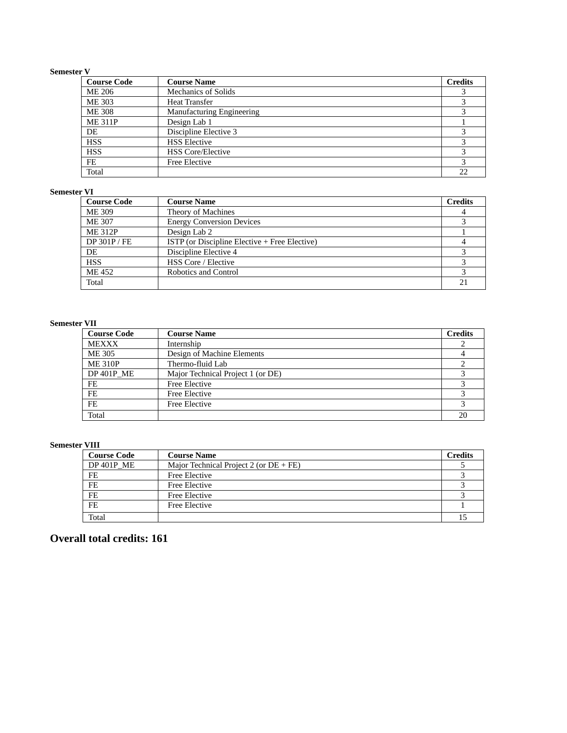#### **Semester V**

| <b>Course Code</b> | <b>Course Name</b>               | <b>Credits</b> |
|--------------------|----------------------------------|----------------|
| ME 206             | <b>Mechanics of Solids</b>       |                |
| <b>ME 303</b>      | <b>Heat Transfer</b>             |                |
| <b>ME 308</b>      | <b>Manufacturing Engineering</b> |                |
| <b>ME 311P</b>     | Design Lab 1                     |                |
| DE                 | Discipline Elective 3            |                |
| <b>HSS</b>         | <b>HSS Elective</b>              | З              |
| <b>HSS</b>         | <b>HSS Core/Elective</b>         |                |
| FE                 | <b>Free Elective</b>             |                |
| Total              |                                  | 22             |

#### **Semester VI**

| <b>Course Code</b> | <b>Course Name</b>                            | <b>Credits</b> |
|--------------------|-----------------------------------------------|----------------|
| <b>ME 309</b>      | Theory of Machines                            |                |
| <b>ME 307</b>      | <b>Energy Conversion Devices</b>              |                |
| <b>ME 312P</b>     | Design Lab 2                                  |                |
| DP 301P/FE         | ISTP (or Discipline Elective + Free Elective) |                |
| DE                 | Discipline Elective 4                         |                |
| <b>HSS</b>         | <b>HSS Core / Elective</b>                    |                |
| ME 452             | Robotics and Control                          |                |
| Total              |                                               |                |

#### **Semester VII**

| <b>Course Code</b> | <b>Course Name</b>                | <b>Credits</b> |
|--------------------|-----------------------------------|----------------|
| <b>MEXXX</b>       | Internship                        |                |
| <b>ME 305</b>      | Design of Machine Elements        |                |
| <b>ME 310P</b>     | Thermo-fluid Lab                  |                |
| <b>DP 401P ME</b>  | Major Technical Project 1 (or DE) |                |
| FE                 | <b>Free Elective</b>              |                |
| FE                 | <b>Free Elective</b>              |                |
| FE                 | <b>Free Elective</b>              |                |
| Total              |                                   |                |

#### **Semester VIII**

| <b>Course Code</b> | <b>Course Name</b>                     | <b>Credits</b> |
|--------------------|----------------------------------------|----------------|
| DP 401P ME         | Major Technical Project 2 (or DE + FE) |                |
| FE                 | Free Elective                          |                |
| FE                 | Free Elective                          |                |
| FE                 | Free Elective                          |                |
| FE                 | Free Elective                          |                |
| Total              |                                        |                |

## **Overall total credits: 161**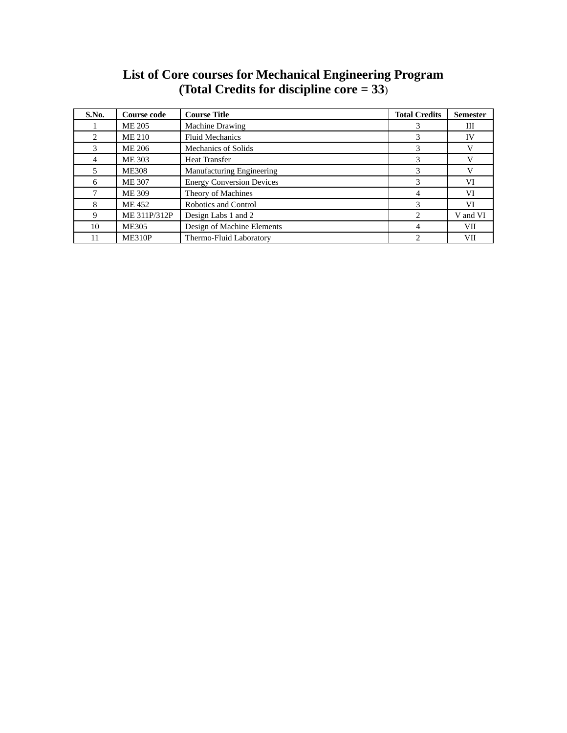| <b>List of Core courses for Mechanical Engineering Program</b> |  |
|----------------------------------------------------------------|--|
| (Total Credits for discipline core $= 33$ )                    |  |

| S.No. | Course code   | <b>Course Title</b>              | <b>Total Credits</b> | <b>Semester</b> |
|-------|---------------|----------------------------------|----------------------|-----------------|
|       | <b>ME 205</b> | <b>Machine Drawing</b>           |                      | Ш               |
|       | ME 210        | <b>Fluid Mechanics</b>           |                      | IV              |
| 3     | ME 206        | <b>Mechanics of Solids</b>       | 3                    |                 |
| 4     | <b>ME 303</b> | <b>Heat Transfer</b>             | 3                    |                 |
| 5.    | <b>ME308</b>  | <b>Manufacturing Engineering</b> | 3                    |                 |
| 6     | <b>ME 307</b> | <b>Energy Conversion Devices</b> |                      | VI              |
|       | ME 309        | Theory of Machines               |                      | VI              |
| 8     | ME 452        | Robotics and Control             | З                    | VI              |
| 9     | ME 311P/312P  | Design Labs 1 and 2              |                      | V and VI        |
| 10    | <b>ME305</b>  | Design of Machine Elements       | 4                    | <b>VII</b>      |
| 11    | <b>ME310P</b> | Thermo-Fluid Laboratory          | ר                    | VII             |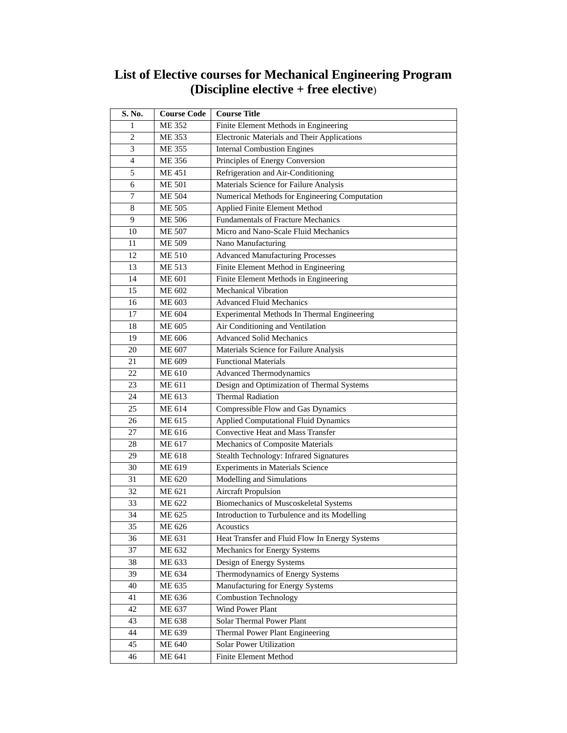| <b>List of Elective courses for Mechanical Engineering Program</b> |  |
|--------------------------------------------------------------------|--|
| (Discipline elective $+$ free elective)                            |  |

| S. No. | <b>Course Code</b> | <b>Course Title</b>                                |
|--------|--------------------|----------------------------------------------------|
| 1      | <b>ME 352</b>      | Finite Element Methods in Engineering              |
| 2      | <b>ME 353</b>      | <b>Electronic Materials and Their Applications</b> |
| 3      | <b>ME 355</b>      | <b>Internal Combustion Engines</b>                 |
| 4      | <b>ME 356</b>      | Principles of Energy Conversion                    |
| 5      | <b>ME 451</b>      | Refrigeration and Air-Conditioning                 |
| 6      | <b>ME 501</b>      | Materials Science for Failure Analysis             |
| 7      | <b>ME 504</b>      | Numerical Methods for Engineering Computation      |
| 8      | <b>ME 505</b>      | Applied Finite Element Method                      |
| 9      | <b>ME 506</b>      | <b>Fundamentals of Fracture Mechanics</b>          |
| 10     | <b>ME 507</b>      | Micro and Nano-Scale Fluid Mechanics               |
| 11     | <b>ME 509</b>      | Nano Manufacturing                                 |
| 12     | <b>ME 510</b>      | <b>Advanced Manufacturing Processes</b>            |
| 13     | <b>ME 513</b>      | Finite Element Method in Engineering               |
| 14     | <b>ME 601</b>      | Finite Element Methods in Engineering              |
| 15     | <b>ME 602</b>      | <b>Mechanical Vibration</b>                        |
| 16     | <b>ME 603</b>      | <b>Advanced Fluid Mechanics</b>                    |
| 17     | <b>ME 604</b>      | Experimental Methods In Thermal Engineering        |
| 18     | <b>ME 605</b>      | Air Conditioning and Ventilation                   |
| 19     | <b>ME 606</b>      | <b>Advanced Solid Mechanics</b>                    |
| 20     | <b>ME 607</b>      | Materials Science for Failure Analysis             |
| 21     | <b>ME 609</b>      | <b>Functional Materials</b>                        |
| 22     | <b>ME 610</b>      | <b>Advanced Thermodynamics</b>                     |
| 23     | <b>ME 611</b>      | Design and Optimization of Thermal Systems         |
| 24     | <b>ME 613</b>      | <b>Thermal Radiation</b>                           |
| 25     | <b>ME 614</b>      | Compressible Flow and Gas Dynamics                 |
| 26     | <b>ME 615</b>      | <b>Applied Computational Fluid Dynamics</b>        |
| 27     | <b>ME 616</b>      | <b>Convective Heat and Mass Transfer</b>           |
| 28     | <b>ME 617</b>      | Mechanics of Composite Materials                   |
| 29     | <b>ME 618</b>      | Stealth Technology: Infrared Signatures            |
| 30     | <b>ME 619</b>      | <b>Experiments in Materials Science</b>            |
| 31     | <b>ME 620</b>      | Modelling and Simulations                          |
| 32     | <b>ME 621</b>      | <b>Aircraft Propulsion</b>                         |
| 33     | <b>ME 622</b>      | <b>Biomechanics of Muscoskeletal Systems</b>       |
| 34     | <b>ME 625</b>      | Introduction to Turbulence and its Modelling       |
| 35     | ME 626             | Acoustics                                          |
| 36     | ME 631             | Heat Transfer and Fluid Flow In Energy Systems     |
| 37     | ME 632             | Mechanics for Energy Systems                       |
| 38     | ME 633             | Design of Energy Systems                           |
| 39     | ME 634             | Thermodynamics of Energy Systems                   |
| 40     | ME 635             | Manufacturing for Energy Systems                   |
| 41     | ME 636             | <b>Combustion Technology</b>                       |
| 42     | ME 637             | <b>Wind Power Plant</b>                            |
| 43     | <b>ME 638</b>      | Solar Thermal Power Plant                          |
| 44     | ME 639             | Thermal Power Plant Engineering                    |
| 45     | <b>ME 640</b>      | <b>Solar Power Utilization</b>                     |
| 46     | <b>ME 641</b>      | <b>Finite Element Method</b>                       |